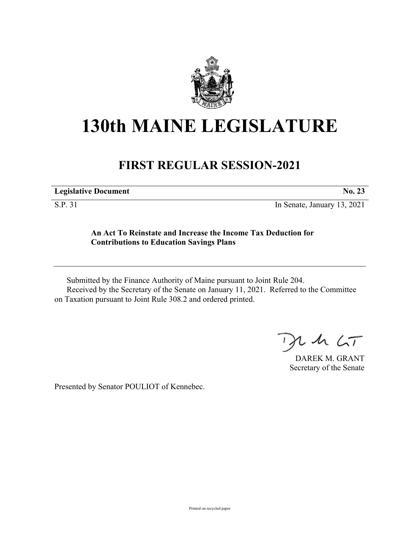

## **130th MAINE LEGISLATURE**

## **FIRST REGULAR SESSION-2021**

| <b>Legislative Document</b> | No. 23 |
|-----------------------------|--------|
|                             |        |

S.P. 31 In Senate, January 13, 2021

## **An Act To Reinstate and Increase the Income Tax Deduction for Contributions to Education Savings Plans**

Submitted by the Finance Authority of Maine pursuant to Joint Rule 204. Received by the Secretary of the Senate on January 11, 2021. Referred to the Committee on Taxation pursuant to Joint Rule 308.2 and ordered printed.

 $125$ 

DAREK M. GRANT Secretary of the Senate

Presented by Senator POULIOT of Kennebec.